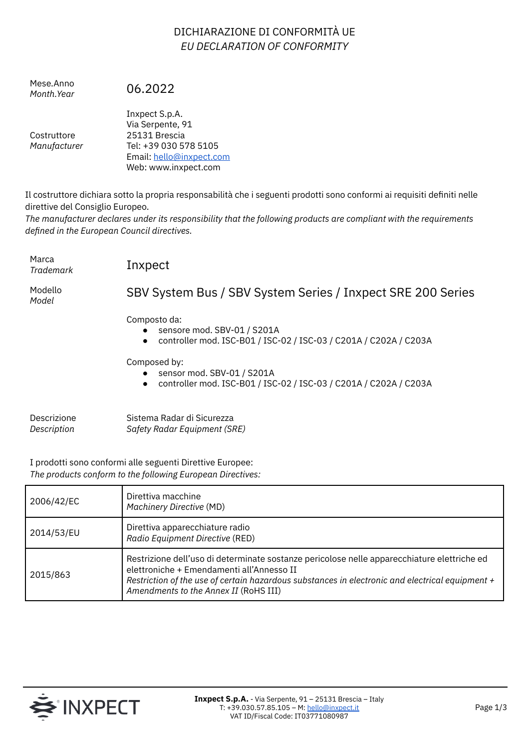## DICHIARAZIONE DI CONFORMITÀ UE *EU DECLARATION OF CONFORMITY*

Mese.Anno *Month.Year* 06.2022

**Costruttore** *Manufacturer* Inxpect S.p.A. Via Serpente, 91 25131 Brescia Tel: +39 030 578 5105 Email: [hello@inxpect.com](mailto:hello@inxpect.com) Web: www.inxpect.com

Il costruttore dichiara sotto la propria responsabilità che i seguenti prodotti sono conformi ai requisiti definiti nelle direttive del Consiglio Europeo.

*The manufacturer declares under its responsibility that the following products are compliant with the requirements defined in the European Council directives.*

Marca

*Trademark* Inxpect

Modello *Model*

## SBV System Bus / SBV System Series / Inxpect SRE 200 Series

Composto da:

- sensore mod. SBV-01 / S201A
- controller mod. ISC-B01 / ISC-02 / ISC-03 / C201A / C202A / C203A

Composed by:

- sensor mod. SBV-01 / S201A
- controller mod. ISC-B01 / ISC-02 / ISC-03 / C201A / C202A / C203A

| Descrizione | Sistema Radar di Sicurezza   |
|-------------|------------------------------|
| Description | Safety Radar Equipment (SRE) |

I prodotti sono conformi alle seguenti Direttive Europee: *The products conform to the following European Directives:*

| 2006/42/EC | Direttiva macchine<br><b>Machinery Directive (MD)</b>                                                                                                                                                                                                                                |
|------------|--------------------------------------------------------------------------------------------------------------------------------------------------------------------------------------------------------------------------------------------------------------------------------------|
| 2014/53/EU | Direttiva apparecchiature radio<br>Radio Equipment Directive (RED)                                                                                                                                                                                                                   |
| 2015/863   | Restrizione dell'uso di determinate sostanze pericolose nelle apparecchiature elettriche ed<br>elettroniche + Emendamenti all'Annesso II<br>Restriction of the use of certain hazardous substances in electronic and electrical equipment +<br>Amendments to the Annex II (RoHS III) |

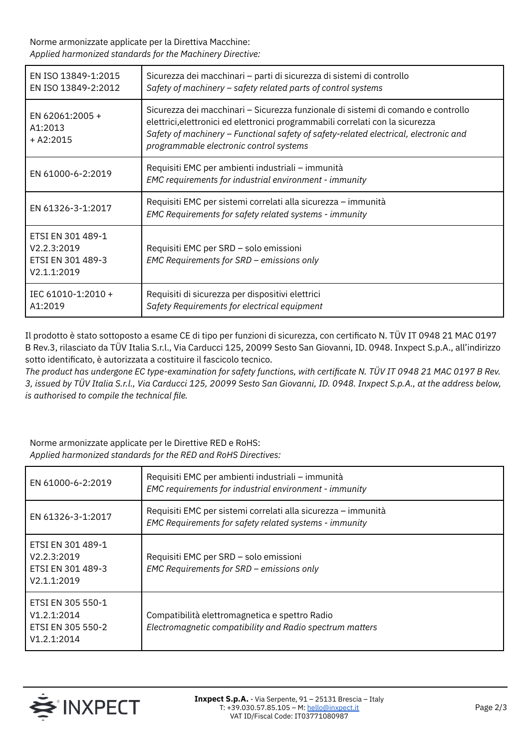Norme armonizzate applicate per la Direttiva Macchine: *Applied harmonized standards for the Machinery Directive:*

| EN ISO 13849-1:2015<br>EN ISO 13849-2:2012                           | Sicurezza dei macchinari – parti di sicurezza di sistemi di controllo<br>Safety of machinery - safety related parts of control systems                                                                                                                                                                 |
|----------------------------------------------------------------------|--------------------------------------------------------------------------------------------------------------------------------------------------------------------------------------------------------------------------------------------------------------------------------------------------------|
| EN 62061:2005 +<br>A1:2013<br>$+ A2:2015$                            | Sicurezza dei macchinari – Sicurezza funzionale di sistemi di comando e controllo<br>elettrici, elettronici ed elettronici programmabili correlati con la sicurezza<br>Safety of machinery - Functional safety of safety-related electrical, electronic and<br>programmable electronic control systems |
| EN 61000-6-2:2019                                                    | Requisiti EMC per ambienti industriali – immunità<br>EMC requirements for industrial environment - immunity                                                                                                                                                                                            |
| EN 61326-3-1:2017                                                    | Requisiti EMC per sistemi correlati alla sicurezza - immunità<br>EMC Requirements for safety related systems - immunity                                                                                                                                                                                |
| ETSI EN 301 489-1<br>V2.2.3:2019<br>ETSI EN 301 489-3<br>V2.1.1:2019 | Requisiti EMC per SRD - solo emissioni<br>EMC Requirements for SRD - emissions only                                                                                                                                                                                                                    |
| IEC 61010-1:2010 +<br>A1:2019                                        | Requisiti di sicurezza per dispositivi elettrici<br>Safety Requirements for electrical equipment                                                                                                                                                                                                       |

Il prodotto è stato sottoposto a esame CE di tipo per funzioni di sicurezza, con certificato N. TÜV IT 0948 21 MAC 0197 B Rev.3, rilasciato da TÜV Italia S.r.l., Via Carducci 125, 20099 Sesto San Giovanni, ID. 0948. Inxpect S.p.A., all'indirizzo sotto identificato, è autorizzata a costituire il fascicolo tecnico.

The product has undergone EC type-examination for safety functions, with certificate N. TÜV IT 0948 21 MAC 0197 B Rev. 3, issued by TÜV Italia S.r.l., Via Carducci 125, 20099 Sesto San Giovanni, ID. 0948. Inxpect S.p.A., at the address below, *is authorised to compile the technical file.*

Norme armonizzate applicate per le Direttive RED e RoHS: *Applied harmonized standards for the RED and RoHS Directives:*

| EN 61000-6-2:2019                                                    | Requisiti EMC per ambienti industriali - immunità<br>EMC requirements for industrial environment - immunity             |
|----------------------------------------------------------------------|-------------------------------------------------------------------------------------------------------------------------|
| EN 61326-3-1:2017                                                    | Requisiti EMC per sistemi correlati alla sicurezza – immunità<br>EMC Requirements for safety related systems - immunity |
| ETSI EN 301 489-1<br>V2.2.3:2019<br>ETSI EN 301 489-3<br>V2.1.1:2019 | Requisiti EMC per SRD - solo emissioni<br>EMC Requirements for SRD - emissions only                                     |
| ETSI EN 305 550-1<br>V1.2.1:2014<br>ETSI EN 305 550-2<br>V1.2.1:2014 | Compatibilità elettromagnetica e spettro Radio<br>Electromagnetic compatibility and Radio spectrum matters              |